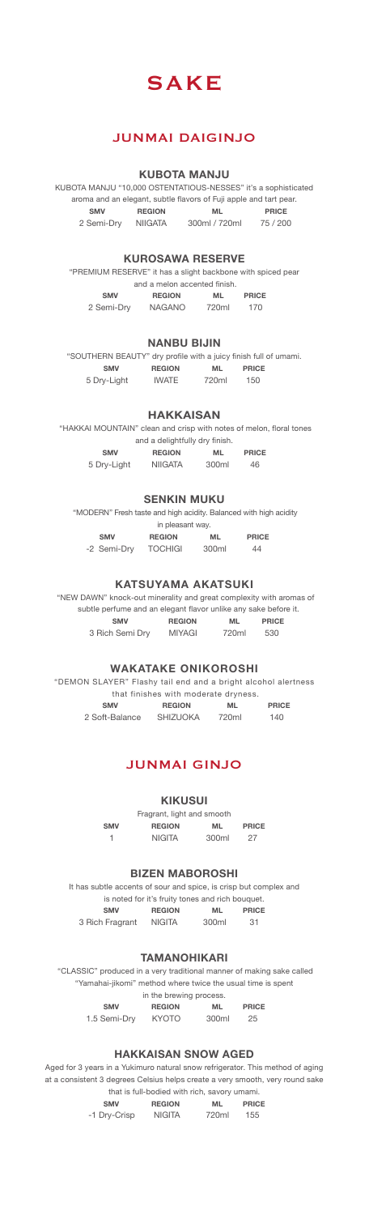

# JUNMAI DAIGINJO

#### **KUBOTA MANJU**

KUBOTA MANJU "10,000 OSTENTATIOUS-NESSES" it's a sophisticated aroma and an elegant, subtle flavors of Fuji apple and tart pear. SMV REGION ML PRICE<br>Semi-Dry NIIGATA 300ml / 720ml 75 / 200 2 Semi-Dry NIIGATA

#### **KUROSAWA RESERVE**

| <b>SMV</b>                                                  | <b>REGION</b>                | <b>ML</b> | <b>PRICE</b> |  |
|-------------------------------------------------------------|------------------------------|-----------|--------------|--|
|                                                             | and a melon accented finish. |           |              |  |
| "PREMIUM RESERVE" it has a slight backbone with spiced pear |                              |           |              |  |

| 2 Semi-Dry | <b>NAGANO</b> | 720ml | 170 |
|------------|---------------|-------|-----|
|            |               |       |     |

#### **NANBU BIJIN**

"SOUTHERN BEAUTY" dry profile with a juicy finish full of umami. SMV REGION ML PRICE 5 Dry-Light IWATE 720ml 150

### **HAKKAISAN**

| "HAKKAI MOUNTAIN" clean and crisp with notes of melon, floral tones |                |           |              |  |  |
|---------------------------------------------------------------------|----------------|-----------|--------------|--|--|
| and a delightfully dry finish.                                      |                |           |              |  |  |
| <b>SMV</b>                                                          | <b>REGION</b>  | <b>ML</b> | <b>PRICE</b> |  |  |
| 5 Dry-Light                                                         | <b>NIIGATA</b> | 300ml     | 46           |  |  |

#### **SENKIN MUKU**

"MODERN" Fresh taste and high acidity. Balanced with high acidity

|             | in pleasant way. |       |              |  |
|-------------|------------------|-------|--------------|--|
| <b>SMV</b>  | <b>REGION</b>    | ML    | <b>PRICE</b> |  |
| -2 Semi-Drv | <b>TOCHIGI</b>   | 300ml | 44           |  |

#### **KATSUYAMA AKATSUKI**

 "NEW DAWN" knock-out minerality and great complexity with aromas of subtle perfume and an elegant flavor unlike any sake before it. SMV REGION ML PRICE 3 Rich Semi Dry MIYAGI 720ml 530

#### **WAKATAKE ONIKOROSHI**

"DEMON SLAYER" Flashy tail end and a bright alcohol alertness that finishes with moderate dryness. SMV REGION ML PRICE

| $\sim$         | ,,,,,,,,,       | $131 -$ | .   |
|----------------|-----------------|---------|-----|
| 2 Soft-Balance | <b>SHIZUOKA</b> | 720ml   | 140 |
|                |                 |         |     |

### JUNMAI GINJO

**KIKUSUI**

Fragrant, light and smooth<br>REGION ML SMV REGION ML PRICE

1 NIGITA 300ml 27

#### **BIZEN MABOROSHI**

It has subtle accents of sour and spice, is crisp but complex and is noted for it's fruity tones and rich bouquet. SMV REGION ML PRICE

| 3 Rich Fragrant | <b>NIGITA</b> | 300ml | 31 |
|-----------------|---------------|-------|----|
|                 |               |       |    |

### **TAMANOHIKARI**

 "CLASSIC" produced in a very traditional manner of making sake called "Yamahai-jikomi" method where twice the usual time is spent<br>in the brewing process.

in the brewing process. SMV REGION ML PRICE

1.5 Semi-Dry KYOTO 300ml 25

| ۰.<br>× | I |
|---------|---|
|         |   |

### **HAKKAISAN SNOW AGED**

Aged for 3 years in a Yukimuro natural snow refrigerator. This method of aging at a consistent 3 degrees Celsius helps create a very smooth, very round sake  $t$ hat is full-bodied with rich, s

|              | GRACIO TUNI DOUNOU WILLI HONG OUVOI Y UNIQUIN. |       |              |
|--------------|------------------------------------------------|-------|--------------|
| <b>SMV</b>   | <b>REGION</b>                                  | ML    | <b>PRICE</b> |
| -1 Dry-Crisp | <b>NIGITA</b>                                  | 720ml | 155          |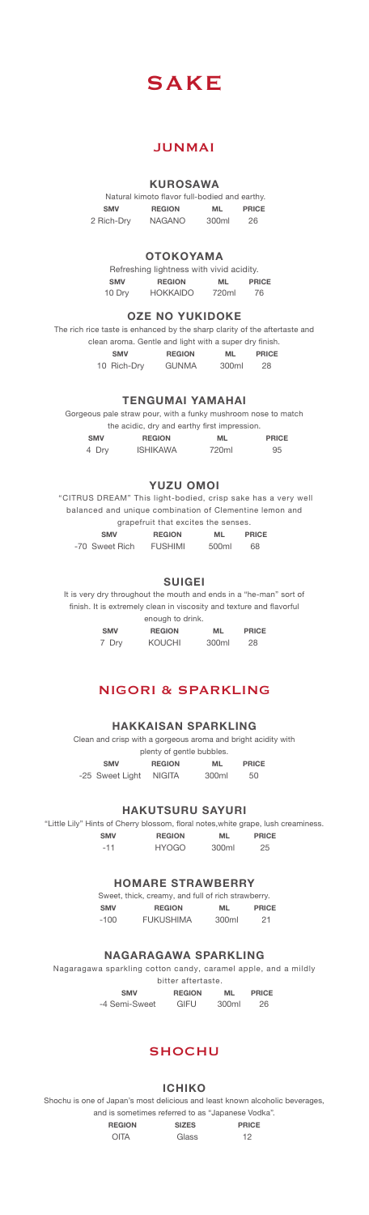

## JUNMAI

#### **KUROSAWA**

|            | Natural kimoto flavor full-bodied and earthy. |       |              |
|------------|-----------------------------------------------|-------|--------------|
| <b>SMV</b> | <b>REGION</b>                                 | ML    | <b>PRICE</b> |
| 2 Rich-Drv | <b>NAGANO</b>                                 | 300ml | 26           |

#### **OTOKOYAMA**

|            | Refreshing lightness with vivid acidity. |       |              |
|------------|------------------------------------------|-------|--------------|
| <b>SMV</b> | <b>REGION</b>                            | ML    | <b>PRICE</b> |
| 10 Drv     | <b>HOKKAIDO</b>                          | 720ml | 76           |

### **OZE NO YUKIDOKE**

The rich rice taste is enhanced by the sharp clarity of the aftertaste and clean aroma. Gentle and light with a super dry finish. SMV REGION ML PRICE 10 Rich-Dry GUNMA 300ml 28

#### **TENGUMAI YAMAHAI**

Gorgeous pale straw pour, with a funky mushroom nose to match the acidic, dry and earthy first impression. SMV REGION ML PRICE<br>4 Dry ISHIKAWA 720ml 95 4 Dry ISHIKAWA 720ml 95

#### **YUZU OMOI**

 "CITRUS DREAM" This light-bodied, crisp sake has a very well balanced and unique combination of Clementine lemon and grapefruit that excites the senses. ML PRICE<br>500ml 68

| SMV            | <b>REGION</b>  | ML    | PRIC |
|----------------|----------------|-------|------|
| -70 Sweet Rich | <b>FUSHIMI</b> | 500ml | 68   |

**SUIGEI**

It is very dry throughout the mouth and ends in a "he-man" sort of finish. It is extremely clean in viscosity and texture and flavorful

enough to drink.

**SMV REGION ML PRICE**<br>7 Dry KOUCHI 300ml 28 7 Dry KOUCHI 300ml

### NIGORI & SPARKLING

#### **HAKKAISAN SPARKLING**

Clean and crisp with a gorgeous aroma and bright acidity with plenty of gentle bubbles. SMV REGION ML PRICE -25 Sweet Light NIGITA 300ml 50

#### **HAKUTSURU SAYURI**

"Little Lily" Hints of Cherry blossom, floral notes,white grape, lush creaminess. SMV REGION ML PRICE SMV REGION ML PRICE<br>-11 HYOGO 300ml 25

#### **HOMARE STRAWBERRY**

Sweet, thick, creamy, and full of rich strawberry.<br>
SMV REGION ML PRIC SMV REGION ML PRICE -100 FUKUSHIMA 300ml 21

#### **NAGARAGAWA SPARKLING**

Nagaragawa sparkling cotton candy, caramel apple, and a mildly bitter aftertaste.<br> **SMV** 

SMV REGION ML PRICE

-4 Semi-Sweet GIFU 300ml 26

# **SHOCHU**

#### **ICHIKO**

Shochu is one of Japan's most delicious and least known alcoholic beverages, and is sometimes referred to as "Japanese Vodka".

REGION SIZES PRICE

OITA Glass 12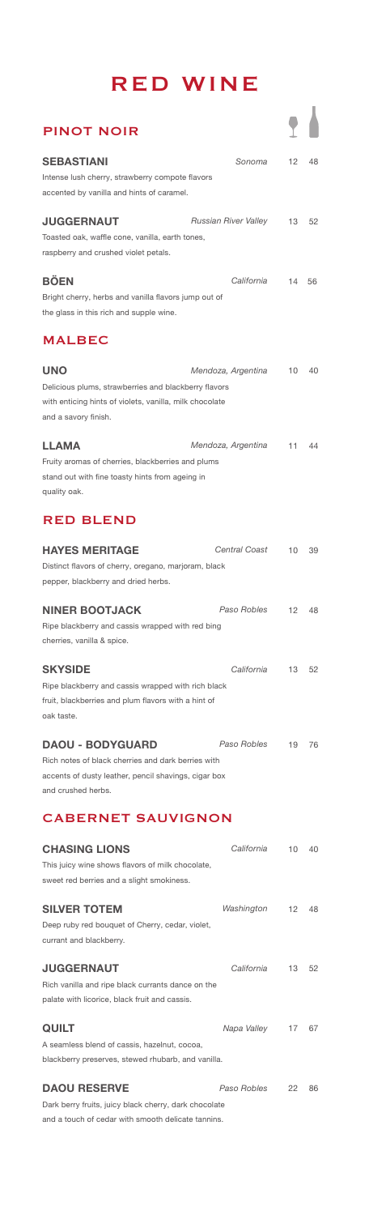# RED WINE

| <b>PINOT NOIR</b>                                                                                                                                           |                      |                   |    |
|-------------------------------------------------------------------------------------------------------------------------------------------------------------|----------------------|-------------------|----|
| <b>SEBASTIANI</b><br>Intense lush cherry, strawberry compote flavors<br>accented by vanilla and hints of caramel.                                           | Sonoma               | 12                | 48 |
| <b>JUGGERNAUT</b><br>Toasted oak, waffle cone, vanilla, earth tones,<br>raspberry and crushed violet petals.                                                | Russian River Valley | 13                | 52 |
| <b>BÖEN</b><br>Bright cherry, herbs and vanilla flavors jump out of<br>the glass in this rich and supple wine.                                              | California           | 14                | 56 |
| <b>MALBEC</b>                                                                                                                                               |                      |                   |    |
| UNO<br>Delicious plums, strawberries and blackberry flavors<br>with enticing hints of violets, vanilla, milk chocolate<br>and a savory finish.              | Mendoza, Argentina   | 10                | 40 |
| LLAMA<br>Fruity aromas of cherries, blackberries and plums<br>stand out with fine toasty hints from ageing in<br>quality oak.                               | Mendoza, Argentina   | 11                | 44 |
| <b>RED BLEND</b>                                                                                                                                            |                      |                   |    |
| <b>HAYES MERITAGE</b><br>Distinct flavors of cherry, oregano, marjoram, black<br>pepper, blackberry and dried herbs.                                        | <b>Central Coast</b> | 10                | 39 |
| <b>NINER BOOTJACK</b><br>Ripe blackberry and cassis wrapped with red bing<br>cherries, vanilla & spice.                                                     | Paso Robles          | 12                | 48 |
| <b>SKYSIDE</b><br>Ripe blackberry and cassis wrapped with rich black<br>fruit, blackberries and plum flavors with a hint of<br>oak taste.                   | California           | 13                | 52 |
| <b>DAOU - BODYGUARD</b><br>Rich notes of black cherries and dark berries with<br>accents of dusty leather, pencil shavings, cigar box<br>and crushed herbs. | Paso Robles          | 19                | 76 |
| <b>CABERNET SAUVIGNON</b>                                                                                                                                   |                      |                   |    |
| <b>CHASING LIONS</b><br>This juicy wine shows flavors of milk chocolate,<br>sweet red berries and a slight smokiness.                                       | California           | $10-10$           | 40 |
| <b>SILVER TOTEM</b><br>Deep ruby red bouquet of Cherry, cedar, violet,<br>currant and blackberry.                                                           | Washington           | $12 \overline{ }$ | 48 |
| <b>JUGGERNAUT</b><br>Rich vanilla and ripe black currants dance on the                                                                                      | California           | 13                | 52 |

palate with licorice, black fruit and cassis.

| <b>QUILT</b>                                          | Napa Valley 17 67 |  |    |
|-------------------------------------------------------|-------------------|--|----|
| A seamless blend of cassis, hazelnut, cocoa.          |                   |  |    |
| blackberry preserves, stewed rhubarb, and vanilla.    |                   |  |    |
|                                                       |                   |  |    |
| <b>DAOU RESERVE</b>                                   | Paso Robles 22    |  | 86 |
| Dark berry fruits, juicy black cherry, dark chocolate |                   |  |    |

and a touch of cedar with smooth delicate tannins.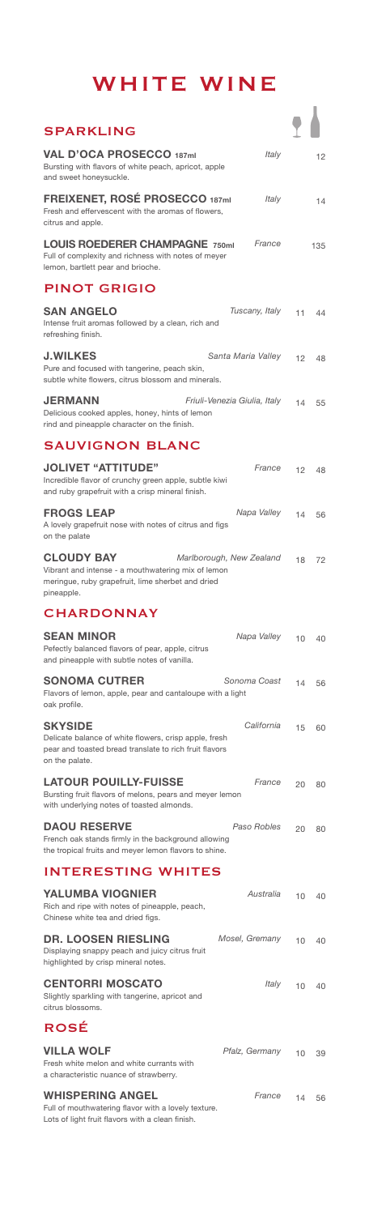# WHITE WINE

| <b>SPARKLING</b>                                                                                                                                                       |    |     |
|------------------------------------------------------------------------------------------------------------------------------------------------------------------------|----|-----|
| <b>VAL D'OCA PROSECCO 187ml</b><br>Italy<br>Bursting with flavors of white peach, apricot, apple<br>and sweet honeysuckle.                                             |    | 12  |
| FREIXENET, ROSÉ PROSECCO 187ml<br>Italy<br>Fresh and effervescent with the aromas of flowers,<br>citrus and apple.                                                     |    | 14  |
| <b>LOUIS ROEDERER CHAMPAGNE 750ml</b><br>France<br>Full of complexity and richness with notes of meyer<br>lemon, bartlett pear and brioche.                            |    | 135 |
| <b>PINOT GRIGIO</b>                                                                                                                                                    |    |     |
| <b>SAN ANGELO</b><br>Tuscany, Italy<br>Intense fruit aromas followed by a clean, rich and<br>refreshing finish.                                                        | 11 | 44  |
| <b>J.WILKES</b><br>Santa Maria Valley<br>Pure and focused with tangerine, peach skin,<br>subtle white flowers, citrus blossom and minerals.                            | 12 | 48  |
| <b>JERMANN</b><br>Friuli-Venezia Giulia, Italy<br>Delicious cooked apples, honey, hints of lemon<br>rind and pineapple character on the finish.                        | 14 | 55  |
| <b>SAUVIGNON BLANC</b>                                                                                                                                                 |    |     |
| <b>JOLIVET "ATTITUDE"</b><br>France<br>Incredible flavor of crunchy green apple, subtle kiwi<br>and ruby grapefruit with a crisp mineral finish.                       | 12 | 48  |
| <b>FROGS LEAP</b><br>Napa Valley<br>A lovely grapefruit nose with notes of citrus and figs<br>on the palate                                                            | 14 | 56  |
| <b>CLOUDY BAY</b><br>Marlborough, New Zealand<br>Vibrant and intense - a mouthwatering mix of lemon<br>meringue, ruby grapefruit, lime sherbet and dried<br>pineapple. | 18 | 72  |
| <b>CHARDONNAY</b>                                                                                                                                                      |    |     |
| <b>SEAN MINOR</b><br>Napa Valley<br>Pefectly balanced flavors of pear, apple, citrus<br>and pineapple with subtle notes of vanilla.                                    | 10 | 40  |
| <b>SONOMA CUTRER</b><br>Sonoma Coast<br>Flavors of lemon, apple, pear and cantaloupe with a light<br>oak profile.                                                      | 14 | 56  |
| <b>SKYSIDE</b><br>California<br>Delicate balance of white flowers, crisp apple, fresh<br>pear and toasted bread translate to rich fruit flavors<br>on the palate.      | 15 | 60  |
| <b>LATOUR POUILLY-FUISSE</b><br>France<br>Bursting fruit flavors of melons, pears and meyer lemon<br>with underlying notes of toasted almonds.                         | 20 | 80  |
| <b>DAOU RESERVE</b><br>Paso Robles<br>French oak stands firmly in the background allowing<br>the tropical fruits and meyer lemon flavors to shine.                     | 20 | 80  |
| <b>INTERESTING WHITES</b>                                                                                                                                              |    |     |
| <b>YALUMBA VIOGNIER</b><br>Australia<br>Rich and ripe with notes of pineapple, peach,<br>Chinese white tea and dried figs.                                             | 10 | 40  |
| <b>DR. LOOSEN RIESLING</b><br>Mosel, Gremany<br>Displaying snappy peach and juicy citrus fruit<br>highlighted by crisp mineral notes.                                  | 10 | 40  |
| <b>CENTORRI MOSCATO</b><br>Italy<br>Slightly sparkling with tangerine, apricot and<br>citrus blossoms.                                                                 | 10 | 40  |
| <b>ROSÉ</b>                                                                                                                                                            |    |     |
| <b>VILLA WOLF</b><br>Pfalz, Germany<br>Fresh white melon and white currants with<br>a characteristic nuance of strawberry.                                             | 10 | 39  |
| <b>WHISPERING ANGEL</b><br>France<br>Full of mouthwatering flavor with a lovely texture.<br>Lots of light fruit flavors with a clean finish.                           | 14 | 56  |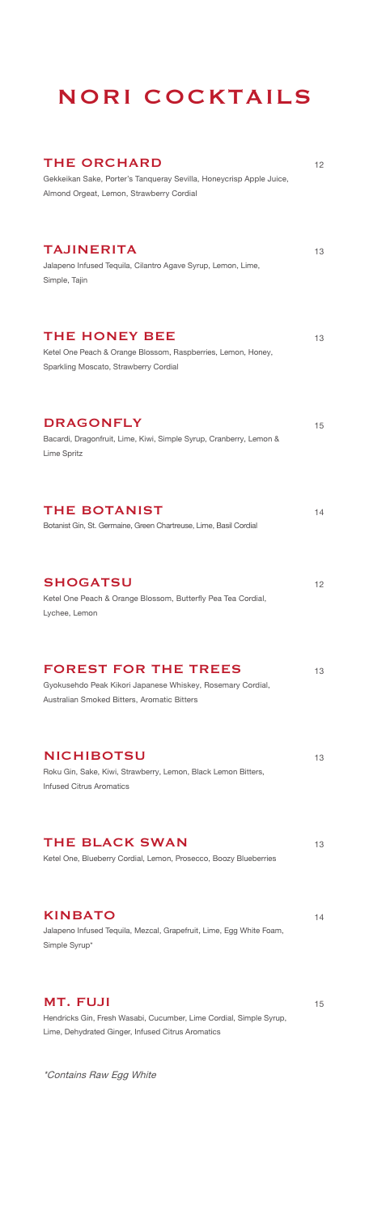# NORI COCKTAILS

| <b>THE ORCHARD</b><br>Gekkeikan Sake, Porter's Tanqueray Sevilla, Honeycrisp Apple Juice,<br>Almond Orgeat, Lemon, Strawberry Cordial      | 12 |
|--------------------------------------------------------------------------------------------------------------------------------------------|----|
| <b>TAJINERITA</b><br>Jalapeno Infused Tequila, Cilantro Agave Syrup, Lemon, Lime,<br>Simple, Tajin                                         | 13 |
| <b>THE HONEY BEE</b><br>Ketel One Peach & Orange Blossom, Raspberries, Lemon, Honey,<br>Sparkling Moscato, Strawberry Cordial              | 13 |
| <b>DRAGONFLY</b><br>Bacardi, Dragonfruit, Lime, Kiwi, Simple Syrup, Cranberry, Lemon &<br>Lime Spritz                                      | 15 |
| <b>THE BOTANIST</b><br>Botanist Gin, St. Germaine, Green Chartreuse, Lime, Basil Cordial                                                   | 14 |
| <b>SHOGATSU</b><br>Ketel One Peach & Orange Blossom, Butterfly Pea Tea Cordial,<br>Lychee, Lemon                                           | 12 |
| <b>FOREST FOR THE TREES</b><br>Gyokusehdo Peak Kikori Japanese Whiskey, Rosemary Cordial,<br>Australian Smoked Bitters, Aromatic Bitters   | 13 |
| <b>NICHIBOTSU</b><br>Roku Gin, Sake, Kiwi, Strawberry, Lemon, Black Lemon Bitters,<br><b>Infused Citrus Aromatics</b>                      | 13 |
| <b>THE BLACK SWAN</b><br>Ketel One, Blueberry Cordial, Lemon, Prosecco, Boozy Blueberries                                                  | 13 |
| <b>KINBATO</b><br>Jalapeno Infused Tequila, Mezcal, Grapefruit, Lime, Egg White Foam,<br>Simple Syrup*                                     | 14 |
| <b>MT. FUJI</b><br>Hendricks Gin, Fresh Wasabi, Cucumber, Lime Cordial, Simple Syrup,<br>Lime, Dehydrated Ginger, Infused Citrus Aromatics | 15 |

\*Contains Raw Egg White